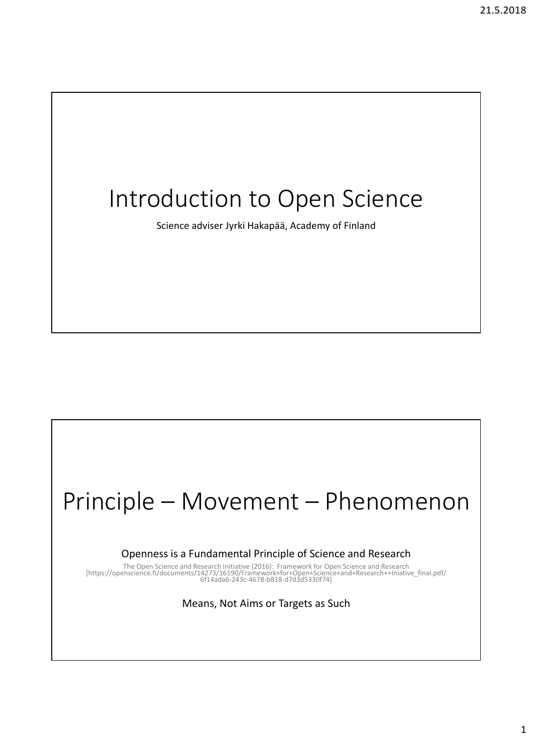## Introduction to Open Science

Science adviser Jyrki Hakapää, Academy of Finland

## Principle – Movement – Phenomenon

Openness is a Fundamental Principle of Science and Research

The Open Science and Research Initiative (2016): Framework for Open Science and Research<br>[https://openscience.fi/documents/14273/16190/Framework+for+Open+Science+and+Research++Iniative\_final.pdf/<br>[614ada6-243c-4678-b818-d7

Means, Not Aims or Targets as Such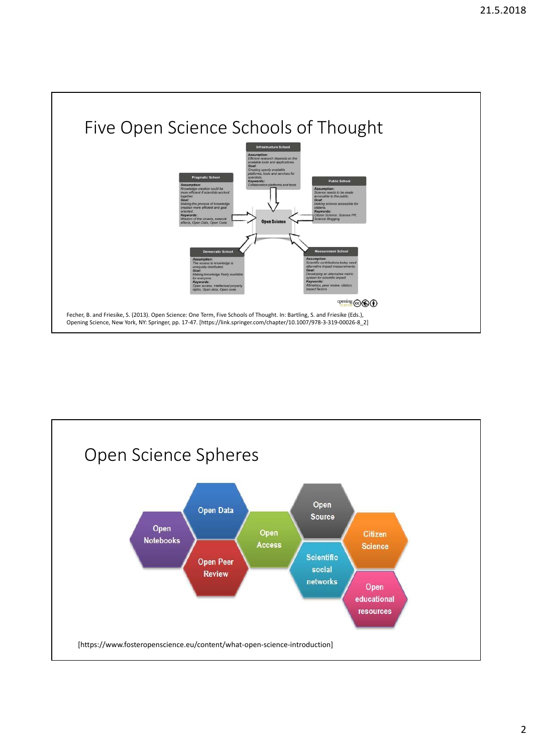

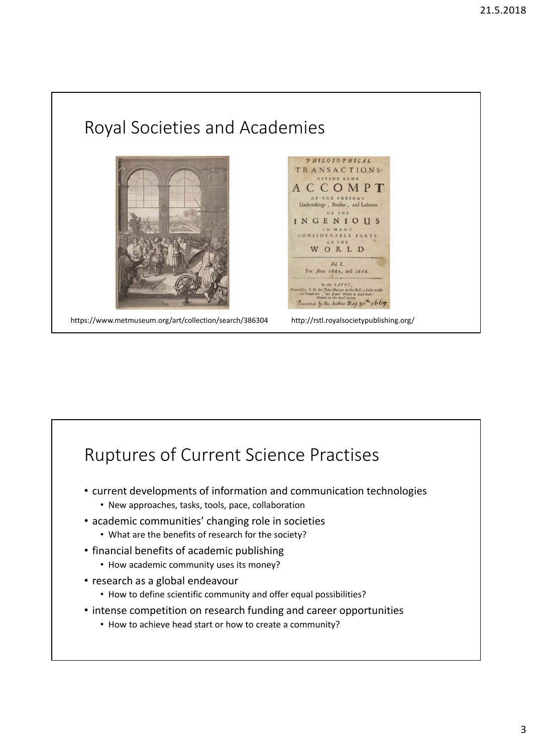

## Ruptures of Current Science Practises

- current developments of information and communication technologies
	- New approaches, tasks, tools, pace, collaboration
- academic communities' changing role in societies
	- What are the benefits of research for the society?
- financial benefits of academic publishing
	- How academic community uses its money?
- research as a global endeavour
	- How to define scientific community and offer equal possibilities?
- intense competition on research funding and career opportunities
	- How to achieve head start or how to create a community?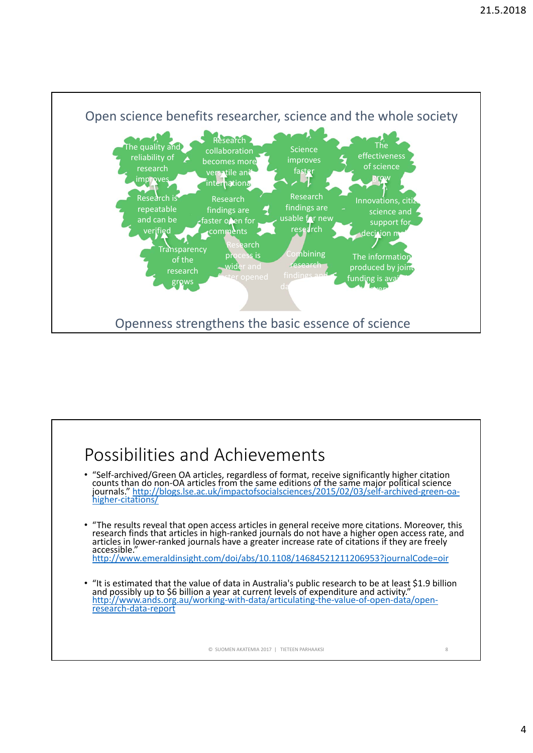

## Possibilities and Achievements "Self-archived/Green OA articles, regardless of format, receive significantly higher citation counts than do non-OA articles from the same editions of the same major political science journals." http://blogs.lse.ac.uk/impa • "The results reveal that open access articles in general receive more citations. Moreover, this research finds that articles in high-ranked journals do not have a higher open access rate, and articles in lower-ranked journals have a greater increase rate of citations if they are freely accessible."<br>accessible." http://www.emeraldinsight.com/doi/abs/10.1108/14684521211206953?journalCode=oir "It is estimated that the value of data in Australia's public research to be at least \$1.9 billion<br>and possibly up to \$6 billion a year at current levels of expenditure and activity."<br>http://www.ands.org.au/working-with-da © SUOMEN AKATEMIA 2017 | TIETEEN PARHAAKSI 8